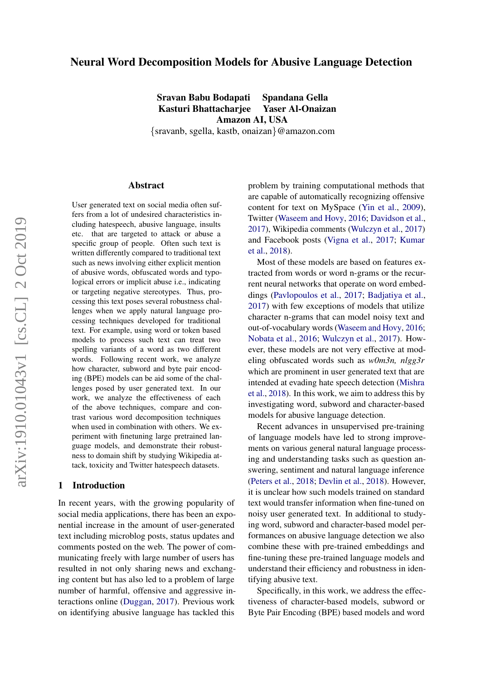# Neural Word Decomposition Models for Abusive Language Detection

Sravan Babu Bodapati Spandana Gella Kasturi Bhattacharjee Yaser Al-Onaizan Amazon AI, USA {sravanb, sgella, kastb, onaizan}@amazon.com

Abstract

User generated text on social media often suffers from a lot of undesired characteristics including hatespeech, abusive language, insults etc. that are targeted to attack or abuse a specific group of people. Often such text is written differently compared to traditional text such as news involving either explicit mention of abusive words, obfuscated words and typological errors or implicit abuse i.e., indicating or targeting negative stereotypes. Thus, processing this text poses several robustness challenges when we apply natural language processing techniques developed for traditional text. For example, using word or token based models to process such text can treat two spelling variants of a word as two different words. Following recent work, we analyze how character, subword and byte pair encoding (BPE) models can be aid some of the challenges posed by user generated text. In our work, we analyze the effectiveness of each of the above techniques, compare and contrast various word decomposition techniques when used in combination with others. We experiment with finetuning large pretrained language models, and demonstrate their robustness to domain shift by studying Wikipedia attack, toxicity and Twitter hatespeech datasets.

#### 1 Introduction

In recent years, with the growing popularity of social media applications, there has been an exponential increase in the amount of user-generated text including microblog posts, status updates and comments posted on the web. The power of communicating freely with large number of users has resulted in not only sharing news and exchanging content but has also led to a problem of large number of harmful, offensive and aggressive interactions online [\(Duggan,](#page-8-0) [2017\)](#page-8-0). Previous work on identifying abusive language has tackled this

problem by training computational methods that are capable of automatically recognizing offensive content for text on MySpace [\(Yin et al.,](#page-10-0) [2009\)](#page-10-0), Twitter [\(Waseem and Hovy,](#page-9-0) [2016;](#page-9-0) [Davidson et al.,](#page-8-1) [2017\)](#page-8-1), Wikipedia comments [\(Wulczyn et al.,](#page-10-1) [2017\)](#page-10-1) and Facebook posts [\(Vigna et al.,](#page-9-1) [2017;](#page-9-1) [Kumar](#page-9-2) [et al.,](#page-9-2) [2018\)](#page-9-2).

Most of these models are based on features extracted from words or word n-grams or the recurrent neural networks that operate on word embeddings [\(Pavlopoulos et al.,](#page-9-3) [2017;](#page-9-3) [Badjatiya et al.,](#page-8-2) [2017\)](#page-8-2) with few exceptions of models that utilize character n-grams that can model noisy text and out-of-vocabulary words [\(Waseem and Hovy,](#page-9-0) [2016;](#page-9-0) [Nobata et al.,](#page-9-4) [2016;](#page-9-4) [Wulczyn et al.,](#page-10-1) [2017\)](#page-10-1). However, these models are not very effective at modeling obfuscated words such as *w0m3n, nlgg3r* which are prominent in user generated text that are intended at evading hate speech detection [\(Mishra](#page-9-5) [et al.,](#page-9-5) [2018\)](#page-9-5). In this work, we aim to address this by investigating word, subword and character-based models for abusive language detection.

Recent advances in unsupervised pre-training of language models have led to strong improvements on various general natural language processing and understanding tasks such as question answering, sentiment and natural language inference [\(Peters et al.,](#page-9-6) [2018;](#page-9-6) [Devlin et al.,](#page-8-3) [2018\)](#page-8-3). However, it is unclear how such models trained on standard text would transfer information when fine-tuned on noisy user generated text. In additional to studying word, subword and character-based model performances on abusive language detection we also combine these with pre-trained embeddings and fine-tuning these pre-trained language models and understand their efficiency and robustness in identifying abusive text.

Specifically, in this work, we address the effectiveness of character-based models, subword or Byte Pair Encoding (BPE) based models and word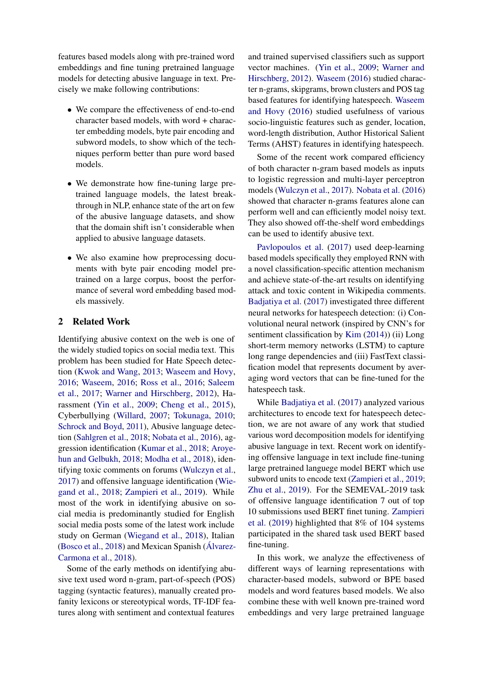features based models along with pre-trained word embeddings and fine tuning pretrained language models for detecting abusive language in text. Precisely we make following contributions:

- We compare the effectiveness of end-to-end character based models, with word + character embedding models, byte pair encoding and subword models, to show which of the techniques perform better than pure word based models.
- We demonstrate how fine-tuning large pretrained language models, the latest breakthrough in NLP, enhance state of the art on few of the abusive language datasets, and show that the domain shift isn't considerable when applied to abusive language datasets.
- We also examine how preprocessing documents with byte pair encoding model pretrained on a large corpus, boost the performance of several word embedding based models massively.

### 2 Related Work

Identifying abusive context on the web is one of the widely studied topics on social media text. This problem has been studied for Hate Speech detection [\(Kwok and Wang,](#page-9-7) [2013;](#page-9-7) [Waseem and Hovy,](#page-9-0) [2016;](#page-9-0) [Waseem,](#page-9-8) [2016;](#page-9-8) [Ross et al.,](#page-9-9) [2016;](#page-9-9) [Saleem](#page-9-10) [et al.,](#page-9-10) [2017;](#page-9-10) [Warner and Hirschberg,](#page-9-11) [2012\)](#page-9-11), Harassment [\(Yin et al.,](#page-10-0) [2009;](#page-10-0) [Cheng et al.,](#page-8-4) [2015\)](#page-8-4), Cyberbullying [\(Willard,](#page-10-2) [2007;](#page-10-2) [Tokunaga,](#page-9-12) [2010;](#page-9-12) [Schrock and Boyd,](#page-9-13) [2011\)](#page-9-13), Abusive language detection [\(Sahlgren et al.,](#page-9-14) [2018;](#page-9-14) [Nobata et al.,](#page-9-4) [2016\)](#page-9-4), aggression identification [\(Kumar et al.,](#page-9-2) [2018;](#page-9-2) [Aroye](#page-8-5)[hun and Gelbukh,](#page-8-5) [2018;](#page-8-5) [Modha et al.,](#page-9-15) [2018\)](#page-9-15), identifying toxic comments on forums [\(Wulczyn et al.,](#page-10-1) [2017\)](#page-10-1) and offensive language identification [\(Wie](#page-10-3)[gand et al.,](#page-10-3) [2018;](#page-10-3) [Zampieri et al.,](#page-10-4) [2019\)](#page-10-4). While most of the work in identifying abusive on social media is predominantly studied for English social media posts some of the latest work include study on German [\(Wiegand et al.,](#page-10-3) [2018\)](#page-10-3), Italian [\(Bosco et al.,](#page-8-6) [2018\)](#page-8-6) and Mexican Spanish (Álvarez-[Carmona et al.,](#page-8-7) [2018\)](#page-8-7).

Some of the early methods on identifying abusive text used word n-gram, part-of-speech (POS) tagging (syntactic features), manually created profanity lexicons or stereotypical words, TF-IDF features along with sentiment and contextual features

and trained supervised classifiers such as support vector machines. [\(Yin et al.,](#page-10-0) [2009;](#page-10-0) [Warner and](#page-9-11) [Hirschberg,](#page-9-11) [2012\)](#page-9-11). [Waseem](#page-9-8) [\(2016\)](#page-9-8) studied character n-grams, skipgrams, brown clusters and POS tag based features for identifying hatespeech. [Waseem](#page-9-0) [and Hovy](#page-9-0) [\(2016\)](#page-9-0) studied usefulness of various socio-linguistic features such as gender, location, word-length distribution, Author Historical Salient Terms (AHST) features in identifying hatespeech.

Some of the recent work compared efficiency of both character n-gram based models as inputs to logistic regression and multi-layer perceptron models [\(Wulczyn et al.,](#page-10-1) [2017\)](#page-10-1). [Nobata et al.](#page-9-4) [\(2016\)](#page-9-4) showed that character n-grams features alone can perform well and can efficiently model noisy text. They also showed off-the-shelf word embeddings can be used to identify abusive text.

[Pavlopoulos et al.](#page-9-3) [\(2017\)](#page-9-3) used deep-learning based models specifically they employed RNN with a novel classification-specific attention mechanism and achieve state-of-the-art results on identifying attack and toxic content in Wikipedia comments. [Badjatiya et al.](#page-8-2) [\(2017\)](#page-8-2) investigated three different neural networks for hatespeech detection: (i) Convolutional neural network (inspired by CNN's for sentiment classification by [Kim](#page-9-16) [\(2014\)](#page-9-16)) (ii) Long short-term memory networks (LSTM) to capture long range dependencies and (iii) FastText classification model that represents document by averaging word vectors that can be fine-tuned for the hatespeech task.

While [Badjatiya et al.](#page-8-2) [\(2017\)](#page-8-2) analyzed various architectures to encode text for hatespeech detection, we are not aware of any work that studied various word decomposition models for identifying abusive language in text. Recent work on identifying offensive language in text include fine-tuning large pretrained languege model BERT which use subword units to encode text [\(Zampieri et al.,](#page-10-4) [2019;](#page-10-4) [Zhu et al.,](#page-10-5) [2019\)](#page-10-5). For the SEMEVAL-2019 task of offensive language identification 7 out of top 10 submissions used BERT finet tuning. [Zampieri](#page-10-4) [et al.](#page-10-4) [\(2019\)](#page-10-4) highlighted that 8% of 104 systems participated in the shared task used BERT based fine-tuning.

In this work, we analyze the effectiveness of different ways of learning representations with character-based models, subword or BPE based models and word features based models. We also combine these with well known pre-trained word embeddings and very large pretrained language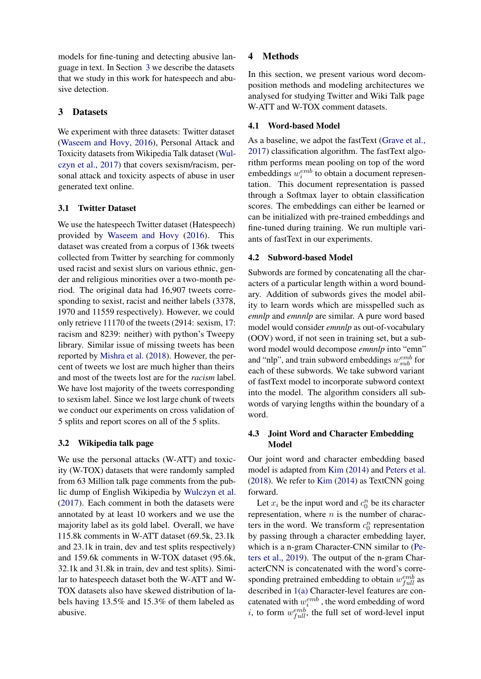models for fine-tuning and detecting abusive language in text. In Section [3](#page-2-0) we describe the datasets that we study in this work for hatespeech and abusive detection.

# <span id="page-2-0"></span>3 Datasets

We experiment with three datasets: Twitter dataset [\(Waseem and Hovy,](#page-9-0) [2016\)](#page-9-0), Personal Attack and Toxicity datasets from Wikipedia Talk dataset [\(Wul](#page-10-1)[czyn et al.,](#page-10-1) [2017\)](#page-10-1) that covers sexism/racism, personal attack and toxicity aspects of abuse in user generated text online.

## 3.1 Twitter Dataset

We use the hatespeech Twitter dataset (Hatespeech) provided by [Waseem and Hovy](#page-9-0) [\(2016\)](#page-9-0). This dataset was created from a corpus of 136k tweets collected from Twitter by searching for commonly used racist and sexist slurs on various ethnic, gender and religious minorities over a two-month period. The original data had 16,907 tweets corresponding to sexist, racist and neither labels (3378, 1970 and 11559 respectively). However, we could only retrieve 11170 of the tweets (2914: sexism, 17: racism and 8239: neither) with python's Tweepy library. Similar issue of missing tweets has been reported by [Mishra et al.](#page-9-5) [\(2018\)](#page-9-5). However, the percent of tweets we lost are much higher than theirs and most of the tweets lost are for the *racism* label. We have lost majority of the tweets corresponding to sexism label. Since we lost large chunk of tweets we conduct our experiments on cross validation of 5 splits and report scores on all of the 5 splits.

# 3.2 Wikipedia talk page

<span id="page-2-2"></span>We use the personal attacks (W-ATT) and toxicity (W-TOX) datasets that were randomly sampled from 63 Million talk page comments from the public dump of English Wikipedia by [Wulczyn et al.](#page-10-1) [\(2017\)](#page-10-1). Each comment in both the datasets were annotated by at least 10 workers and we use the majority label as its gold label. Overall, we have 115.8k comments in W-ATT dataset (69.5k, 23.1k and 23.1k in train, dev and test splits respectively) and 159.6k comments in W-TOX dataset (95.6k, 32.1k and 31.8k in train, dev and test splits). Similar to hatespeech dataset both the W-ATT and W-TOX datasets also have skewed distribution of labels having 13.5% and 15.3% of them labeled as abusive.

# 4 Methods

In this section, we present various word decomposition methods and modeling architectures we analysed for studying Twitter and Wiki Talk page W-ATT and W-TOX comment datasets.

# 4.1 Word-based Model

As a baseline, we adpot the fastText [\(Grave et al.,](#page-9-17) [2017\)](#page-9-17) classification algorithm. The fastText algorithm performs mean pooling on top of the word embeddings  $w_i^{emb}$  to obtain a document representation. This document representation is passed through a Softmax layer to obtain classification scores. The embeddings can either be learned or can be initialized with pre-trained embeddings and fine-tuned during training. We run multiple variants of fastText in our experiments.

## 4.2 Subword-based Model

Subwords are formed by concatenating all the characters of a particular length within a word boundary. Addition of subwords gives the model ability to learn words which are misspelled such as *emnlp* and *emnnlp* are similar. A pure word based model would consider *emnnlp* as out-of-vocabulary (OOV) word, if not seen in training set, but a subword model would decompose *emnnlp* into "emn" and "nlp", and train subword embeddings  $w_{sub}^{emb}$  for each of these subwords. We take subword variant of fastText model to incorporate subword context into the model. The algorithm considers all subwords of varying lengths within the boundary of a word.

## <span id="page-2-1"></span>4.3 Joint Word and Character Embedding Model

Our joint word and character embedding based model is adapted from [Kim](#page-9-16) [\(2014\)](#page-9-16) and [Peters et al.](#page-9-6) [\(2018\)](#page-9-6). We refer to [Kim](#page-9-16) [\(2014\)](#page-9-16) as TextCNN going forward.

Let  $x_i$  be the input word and  $c_0^n$  be its character representation, where  $n$  is the number of characters in the word. We transform  $c_0^n$  representation by passing through a character embedding layer, which is a n-gram Character-CNN similar to [\(Pe](#page-9-18)[ters et al.,](#page-9-18) [2019\)](#page-9-18). The output of the n-gram CharacterCNN is concatenated with the word's corresponding pretrained embedding to obtain  $w_{full}^{emb}$  as described in [1\(a\)](#page-3-0) Character-level features are concatenated with  $w_i^{emb}$ , the word embedding of word *i*, to form  $w_{full}^{emb}$ , the full set of word-level input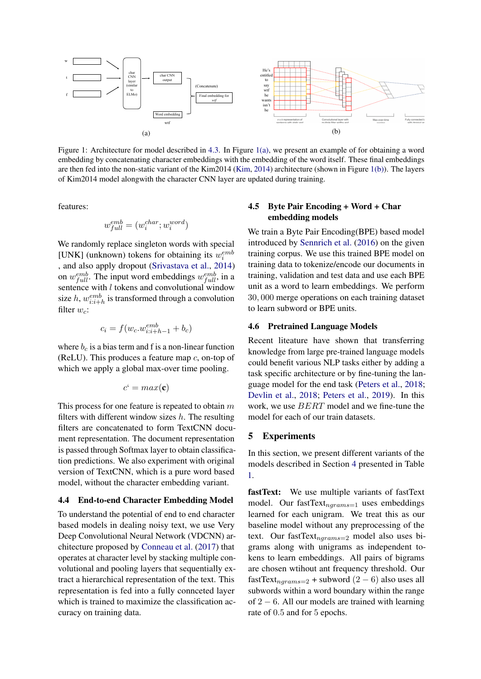<span id="page-3-0"></span>

Figure 1: Architecture for model described in [4.3.](#page-2-1) In Figure [1\(a\),](#page-3-0) we present an example of for obtaining a word embedding by concatenating character embeddings with the embedding of the word itself. These final embeddings are then fed into the non-static variant of the Kim2014 [\(Kim,](#page-9-16) [2014\)](#page-9-16) architecture (shown in Figure [1\(b\)\)](#page-3-0). The layers of Kim2014 model alongwith the character CNN layer are updated during training.

features:

$$
w_{full}^{emb} = (w_i^{char}; w_i^{word})
$$

We randomly replace singleton words with special [UNK] (unknown) tokens for obtaining its  $w_i^{emb}$ , and also apply dropout [\(Srivastava et al.,](#page-9-19) [2014\)](#page-9-19) on  $w_{full}^{emb}$ . The input word embeddings  $w_{full}^{emb}$ , in a sentence with *l* tokens and convolutional window size  $h$ ,  $w_{i:i+h}^{emb}$  is transformed through a convolution filter  $w_c$ :

$$
c_i = f(w_c.w_{i:i+h-1}^{emb} + b_c)
$$

where  $b_c$  is a bias term and f is a non-linear function (ReLU). This produces a feature map  $c$ , on-top of which we apply a global max-over time pooling.

$$
c^{\prime} = max(\mathbf{c})
$$

This process for one feature is repeated to obtain  $m$ filters with different window sizes  $h$ . The resulting filters are concatenated to form TextCNN document representation. The document representation is passed through Softmax layer to obtain classification predictions. We also experiment with original version of TextCNN, which is a pure word based model, without the character embedding variant.

#### 4.4 End-to-end Character Embedding Model

To understand the potential of end to end character based models in dealing noisy text, we use Very Deep Convolutional Neural Network (VDCNN) architecture proposed by [Conneau et al.](#page-8-8) [\(2017\)](#page-8-8) that operates at character level by stacking multiple convolutional and pooling layers that sequentially extract a hierarchical representation of the text. This representation is fed into a fully connceted layer which is trained to maximize the classification accuracy on training data.

### 4.5 Byte Pair Encoding + Word + Char embedding models

We train a Byte Pair Encoding(BPE) based model introduced by [Sennrich et al.](#page-9-20) [\(2016\)](#page-9-20) on the given training corpus. We use this trained BPE model on training data to tokenize/encode our documents in training, validation and test data and use each BPE unit as a word to learn embeddings. We perform 30, 000 merge operations on each training dataset to learn subword or BPE units.

### 4.6 Pretrained Language Models

Recent liteature have shown that transferring knowledge from large pre-trained language models could benefit various NLP tasks either by adding a task specific architecture or by fine-tuning the language model for the end task [\(Peters et al.,](#page-9-6) [2018;](#page-9-6) [Devlin et al.,](#page-8-3) [2018;](#page-8-3) [Peters et al.,](#page-9-18) [2019\)](#page-9-18). In this work, we use BERT model and we fine-tune the model for each of our train datasets.

#### <span id="page-3-1"></span>5 Experiments

In this section, we present different variants of the models described in Section [4](#page-2-2) presented in Table [1.](#page-5-0)

fastText: We use multiple variants of fastText model. Our fastText $_{ngrams=1}$  uses embeddings learned for each unigram. We treat this as our baseline model without any preprocessing of the text. Our fastText $_{nargams=2}$  model also uses bigrams along with unigrams as independent tokens to learn embeddings. All pairs of bigrams are chosen wtihout ant frequency threshold. Our fastText<sub>ngrams=2</sub> + subword  $(2 - 6)$  also uses all subwords within a word boundary within the range of 2 − 6. All our models are trained with learning rate of 0.5 and for 5 epochs.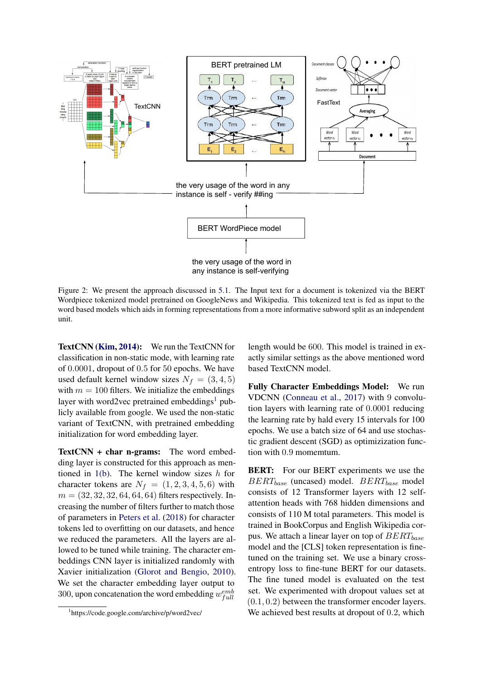<span id="page-4-1"></span>

Figure 2: We present the approach discussed in [5.1.](#page-5-1) The Input text for a document is tokenized via the BERT Wordpiece tokenized model pretrained on GoogleNews and Wikipedia. This tokenized text is fed as input to the word based models which aids in forming representations from a more informative subword split as an independent unit.

TextCNN [\(Kim,](#page-9-16) [2014\)](#page-9-16): We run the TextCNN for classification in non-static mode, with learning rate of 0.0001, dropout of 0.5 for 50 epochs. We have used default kernel window sizes  $N_f = (3, 4, 5)$ with  $m = 100$  filters. We initialize the embeddings layer with word2vec pretrained embeddings<sup>[1](#page-4-0)</sup> publicly available from google. We used the non-static variant of TextCNN, with pretrained embedding initialization for word embedding layer.

TextCNN + char n-grams: The word embedding layer is constructed for this approach as mentioned in  $1(b)$ . The kernel window sizes h for character tokens are  $N_f = (1, 2, 3, 4, 5, 6)$  with  $m = (32, 32, 32, 64, 64, 64)$  filters respectively. Increasing the number of filters further to match those of parameters in [Peters et al.](#page-9-6) [\(2018\)](#page-9-6) for character tokens led to overfitting on our datasets, and hence we reduced the parameters. All the layers are allowed to be tuned while training. The character embeddings CNN layer is initialized randomly with Xavier initialization [\(Glorot and Bengio,](#page-9-21) [2010\)](#page-9-21). We set the character embedding layer output to 300, upon concatenation the word embedding  $w_{full}^{emb}$ 

length would be 600. This model is trained in exactly similar settings as the above mentioned word based TextCNN model.

Fully Character Embeddings Model: We run VDCNN [\(Conneau et al.,](#page-8-8) [2017\)](#page-8-8) with 9 convolution layers with learning rate of 0.0001 reducing the learning rate by hald every 15 intervals for 100 epochs. We use a batch size of 64 and use stochastic gradient descent (SGD) as optimizization function with 0.9 momemtum.

BERT: For our BERT experiments we use the  $BERT_{base}$  (uncased) model.  $BERT_{base}$  model consists of 12 Transformer layers with 12 selfattention heads with 768 hidden dimensions and consists of 110 M total parameters. This model is trained in BookCorpus and English Wikipedia corpus. We attach a linear layer on top of  $BERT_{base}$ model and the [CLS] token representation is finetuned on the training set. We use a binary crossentropy loss to fine-tune BERT for our datasets. The fine tuned model is evaluated on the test set. We experimented with dropout values set at  $(0.1, 0.2)$  between the transformer encoder layers. We achieved best results at dropout of 0.2, which

<span id="page-4-0"></span><sup>1</sup> https://code.google.com/archive/p/word2vec/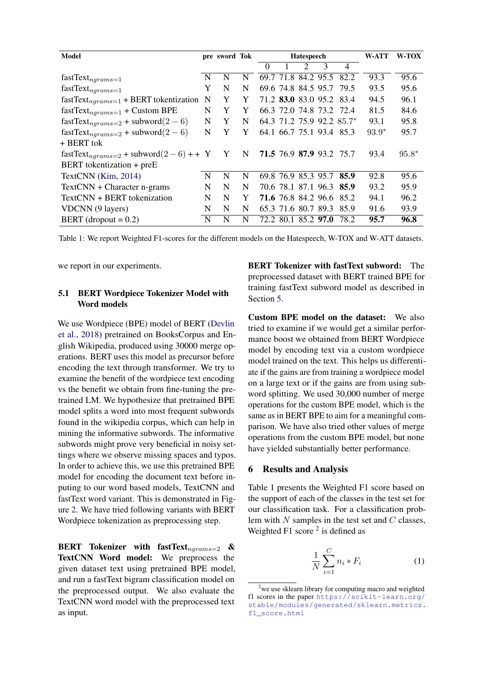<span id="page-5-0"></span>

| <b>Model</b>                                  |             | pre sword Tok |   | <b>Hatespeech</b> |  |                             | <b>W-ATT</b> | <b>W-TOX</b>              |         |         |
|-----------------------------------------------|-------------|---------------|---|-------------------|--|-----------------------------|--------------|---------------------------|---------|---------|
|                                               |             |               |   | $\theta$          |  | $\mathcal{D}_{\mathcal{L}}$ | 3            | $\overline{4}$            |         |         |
| $fastText_{ngrams=1}$                         | $\mathbf N$ | N             | N |                   |  |                             |              | 69.7 71.8 84.2 95.5 82.2  | 93.3    | 95.6    |
| $\textsf{fastText}_{ngrams=1}$                | Y           | N             | N |                   |  |                             |              | 69.6 74.8 84.5 95.7 79.5  | 93.5    | 95.6    |
| $fastText_{ngrams=1}$ + BERT tokentization    | N           | Y             | Y |                   |  |                             |              | 71.2 83.0 83.0 95.2 83.4  | 94.5    | 96.1    |
| $fastText_{ngrams=1}$ + Custom BPE            | N           | Y             | Y |                   |  |                             |              | 66.3 72.0 74.8 73.2 72.4  | 81.5    | 84.6    |
| $fastText_{ngrams=2}$ + subword $(2-6)$       | N           | Y             | N |                   |  |                             |              | 64.3 71.2 75.9 92.2 85.7* | 93.1    | 95.8    |
| $fastText_{ngrams=2}$ + subword $(2-6)$       | N           | Y             | Y |                   |  |                             |              | 64.1 66.7 75.1 93.4 85.3  | $93.9*$ | 95.7    |
| + BERT tok                                    |             |               |   |                   |  |                             |              |                           |         |         |
| $fastText_{ngrams=2}$ + subword $(2-6)$ + + Y |             | Y N           |   |                   |  |                             |              | 71.5 76.9 87.9 93.2 75.7  | 93.4    | $95.8*$ |
| BERT tokentization + preE                     |             |               |   |                   |  |                             |              |                           |         |         |
| TextCNN (Kim, 2014)                           | N           | N             | N |                   |  |                             |              | 69.8 76.9 85.3 95.7 85.9  | 92.8    | 95.6    |
| $TextCNN + Character n-grams$                 | N           | N             | N |                   |  |                             |              | 70.6 78.1 87.1 96.3 85.9  | 93.2    | 95.9    |
| TextCNN + BERT tokenization                   | N           | N             | Y |                   |  |                             |              | 71.6 76.8 84.2 96.6 85.2  | 94.1    | 96.2    |
| VDCNN (9 layers)                              | N           | N             | N |                   |  |                             |              | 65.3 71.6 80.7 89.3 85.9  | 91.6    | 93.9    |
| BERT (dropout $= 0.2$ )                       | N           | N             | N |                   |  | 72.2 80.1 85.2 97.0         |              | 78.2                      | 95.7    | 96.8    |

Table 1: We report Weighted F1-scores for the different models on the Hatespeech, W-TOX and W-ATT datasets.

<span id="page-5-1"></span>we report in our experiments.

### 5.1 BERT Wordpiece Tokenizer Model with Word models

We use Wordpiece (BPE) model of BERT [\(Devlin](#page-8-3) [et al.,](#page-8-3) [2018\)](#page-8-3) pretrained on BooksCorpus and English Wikipedia, produced using 30000 merge operations. BERT uses this model as precursor before encoding the text through transformer. We try to examine the benefit of the wordpiece text encoding vs the benefit we obtain from fine-tuning the pretrained LM. We hypothesize that pretrained BPE model splits a word into most frequent subwords found in the wikipedia corpus, which can help in mining the informative subwords. The informative subwords might prove very beneficial in noisy settings where we observe missing spaces and typos. In order to achieve this, we use this pretrained BPE model for encoding the document text before inputing to our word based models, TextCNN and fastText word variant. This is demonstrated in Figure [2.](#page-4-1) We have tried following variants with BERT Wordpiece tokenization as preprocessing step.

BERT Tokenizer with fastText $_{nargans=2}$  & TextCNN Word model: We preprocess the given dataset text using pretrained BPE model, and run a fastText bigram classification model on the preprocessed output. We also evaluate the TextCNN word model with the preprocessed text as input.

BERT Tokenizer with fastText subword: The preprocessed dataset with BERT trained BPE for training fastText subword model as described in Section [5.](#page-3-1)

Custom BPE model on the dataset: We also tried to examine if we would get a similar performance boost we obtained from BERT Wordpiece model by encoding text via a custom wordpiece model trained on the text. This helps us differentiate if the gains are from training a wordpiece model on a large text or if the gains are from using subword splitting. We used 30,000 number of merge operations for the custom BPE model, which is the same as in BERT BPE to aim for a meaningful comparison. We have also tried other values of merge operations from the custom BPE model, but none have yielded substantially better performance.

#### 6 Results and Analysis

Table 1 presents the Weighted F1 score based on the support of each of the classes in the test set for our classification task. For a classification problem with  $N$  samples in the test set and  $C$  classes, Weighted F1 score  $2$  is defined as

$$
\frac{1}{N} \sum_{i=1}^{C} n_i * F_i \tag{1}
$$

<span id="page-5-2"></span> $2$ we use sklearn library for computing macro and weighted f1 scores in the paper [https://scikit-learn.org/](https://scikit-learn.org/stable/modules/generated/sklearn.metrics.f1_score.html) [stable/modules/generated/sklearn.metrics.](https://scikit-learn.org/stable/modules/generated/sklearn.metrics.f1_score.html) [f1\\_score.html](https://scikit-learn.org/stable/modules/generated/sklearn.metrics.f1_score.html)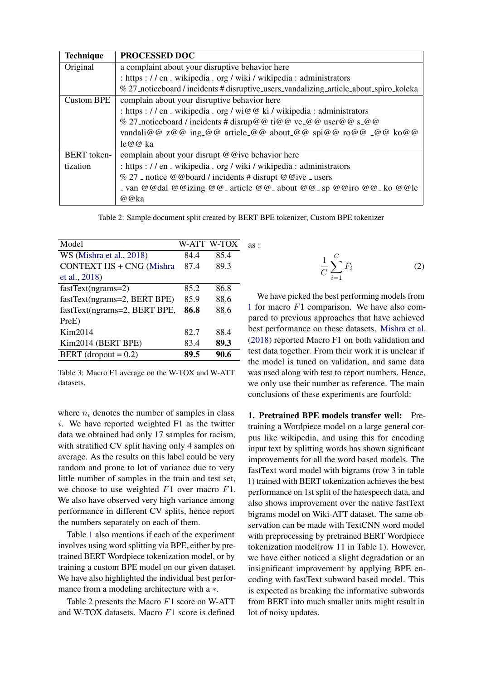| <b>Technique</b>   | PROCESSED DOC                                                                          |
|--------------------|----------------------------------------------------------------------------------------|
| Original           | a complaint about your disruptive behavior here                                        |
|                    | : https : // en . wikipedia . org / wiki / wikipedia : administrators                  |
|                    | % 27_noticeboard / incidents # disruptive_users_vandalizing_article_about_spiro_koleka |
| <b>Custom BPE</b>  | complain about your disruptive behavior here                                           |
|                    | : https : // en . wikipedia . org / wi@@ ki / wikipedia : administrators               |
|                    | % 27_noticeboard / incidents # disrup@@ ti@@ ve_@@ user@@ s_@@                         |
|                    | vandali@@ z@@ ing_@@ article_@@ about_@@ spi@@ ro@@ _@@ ko@@                           |
|                    | le@@ka                                                                                 |
| <b>BERT</b> token- | complain about your disrupt @ @ ive behavior here                                      |
| tization           | : https : // en . wikipedia . org / wiki / wikipedia : administrators                  |
|                    | $\%$ 27 _ notice @ @ board / incidents # disrupt @ @ ive _ users                       |
|                    | - van @@dal @@izing @@- article @@- about @@- sp @@iro @@- ko @@le                     |
|                    | @@ka                                                                                   |

Table 2: Sample document split created by BERT BPE tokenizer, Custom BPE tokenizer

as :

<span id="page-6-0"></span>

| Model                           |      | W-ATT W-TOX |  |
|---------------------------------|------|-------------|--|
| WS (Mishra et al., 2018)        | 84.4 | 85.4        |  |
| <b>CONTEXT HS + CNG (Mishra</b> | 87.4 | 89.3        |  |
| et al., 2018)                   |      |             |  |
| $fastText(ngrams=2)$            | 85.2 | 86.8        |  |
| fastText(ngrams=2, BERT BPE)    | 85.9 | 88.6        |  |
| fastText(ngrams=2, BERT BPE,    | 86.8 | 88.6        |  |
| PreE)                           |      |             |  |
| Kim2014                         | 82.7 | 88.4        |  |
| Kim2014 (BERT BPE)              | 83.4 | 89.3        |  |
| BERT (dropout $= 0.2$ )         | 89.5 | 90.6        |  |
|                                 |      |             |  |

Table 3: Macro F1 average on the W-TOX and W-ATT datasets.

where  $n_i$  denotes the number of samples in class  $i$ . We have reported weighted F1 as the twitter data we obtained had only 17 samples for racism, with stratified CV split having only 4 samples on average. As the results on this label could be very random and prone to lot of variance due to very little number of samples in the train and test set, we choose to use weighted  $F1$  over macro  $F1$ . We also have observed very high variance among performance in different CV splits, hence report the numbers separately on each of them.

Table [1](#page-5-0) also mentions if each of the experiment involves using word splitting via BPE, either by pretrained BERT Wordpiece tokenization model, or by training a custom BPE model on our given dataset. We have also highlighted the individual best performance from a modeling architecture with a ∗.

Table 2 presents the Macro  $F1$  score on W-ATT and W-TOX datasets. Macro F1 score is defined

$$
\frac{1}{C} \sum_{i=1}^{C} F_i \tag{2}
$$

We have picked the best performing models from [1](#page-5-0) for macro F1 comparison. We have also compared to previous approaches that have achieved best performance on these datasets. [Mishra et al.](#page-9-5) [\(2018\)](#page-9-5) reported Macro F1 on both validation and test data together. From their work it is unclear if the model is tuned on validation, and same data was used along with test to report numbers. Hence, we only use their number as reference. The main conclusions of these experiments are fourfold:

1. Pretrained BPE models transfer well: Pretraining a Wordpiece model on a large general corpus like wikipedia, and using this for encoding input text by splitting words has shown significant improvements for all the word based models. The fastText word model with bigrams (row 3 in table 1) trained with BERT tokenization achieves the best performance on 1st split of the hatespeech data, and also shows improvement over the native fastText bigrams model on Wiki-ATT dataset. The same observation can be made with TextCNN word model with preprocessing by pretrained BERT Wordpiece tokenization model(row 11 in Table 1). However, we have either noticed a slight degradation or an insignificant improvement by applying BPE encoding with fastText subword based model. This is expected as breaking the informative subwords from BERT into much smaller units might result in lot of noisy updates.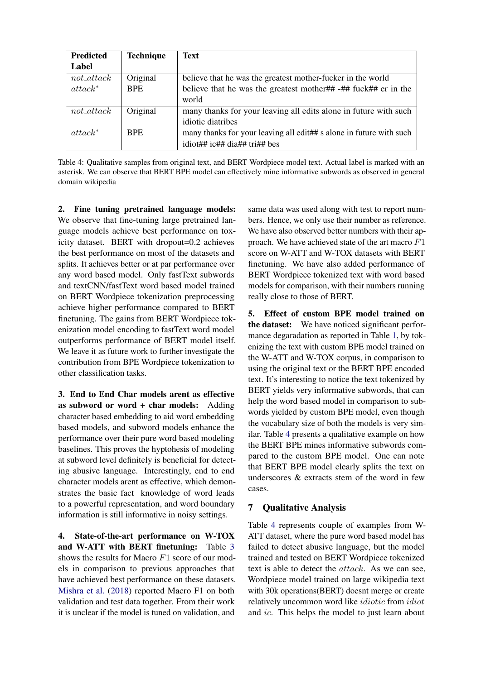<span id="page-7-0"></span>

| <b>Predicted</b> | <b>Technique</b> | <b>Text</b>                                                         |
|------------------|------------------|---------------------------------------------------------------------|
| Label            |                  |                                                                     |
| $not\_attack$    | Original         | believe that he was the greatest mother-fucker in the world         |
| $attrack^*$      | <b>BPE</b>       | believe that he was the greatest mother## $-$ ## fuck## er in the   |
|                  |                  | world                                                               |
| $not\_attack$    | Original         | many thanks for your leaving all edits alone in future with such    |
|                  |                  | idiotic diatribes                                                   |
| $at tackle^*$    | <b>BPE</b>       | many thanks for your leaving all edit## s alone in future with such |
|                  |                  | idiot## ic## dia## tri## bes                                        |

Table 4: Qualitative samples from original text, and BERT Wordpiece model text. Actual label is marked with an asterisk. We can observe that BERT BPE model can effectively mine informative subwords as observed in general domain wikipedia

2. Fine tuning pretrained language models: We observe that fine-tuning large pretrained language models achieve best performance on toxicity dataset. BERT with dropout=0.2 achieves the best performance on most of the datasets and splits. It achieves better or at par performance over any word based model. Only fastText subwords and textCNN/fastText word based model trained on BERT Wordpiece tokenization preprocessing achieve higher performance compared to BERT finetuning. The gains from BERT Wordpiece tokenization model encoding to fastText word model outperforms performance of BERT model itself. We leave it as future work to further investigate the contribution from BPE Wordpiece tokenization to other classification tasks.

3. End to End Char models arent as effective as subword or word + char models: Adding character based embedding to aid word embedding based models, and subword models enhance the performance over their pure word based modeling baselines. This proves the hyptohesis of modeling at subword level definitely is beneficial for detecting abusive language. Interestingly, end to end character models arent as effective, which demonstrates the basic fact knowledge of word leads to a powerful representation, and word boundary information is still informative in noisy settings.

4. State-of-the-art performance on W-TOX and W-ATT with BERT finetuning: Table [3](#page-6-0) shows the results for Macro F1 score of our models in comparison to previous approaches that have achieved best performance on these datasets. [Mishra et al.](#page-9-5) [\(2018\)](#page-9-5) reported Macro F1 on both validation and test data together. From their work it is unclear if the model is tuned on validation, and

same data was used along with test to report numbers. Hence, we only use their number as reference. We have also observed better numbers with their approach. We have achieved state of the art macro  $F1$ score on W-ATT and W-TOX datasets with BERT finetuning. We have also added performance of BERT Wordpiece tokenized text with word based models for comparison, with their numbers running really close to those of BERT.

5. Effect of custom BPE model trained on the dataset: We have noticed significant performance degaradation as reported in Table [1,](#page-5-0) by tokenizing the text with custom BPE model trained on the W-ATT and W-TOX corpus, in comparison to using the original text or the BERT BPE encoded text. It's interesting to notice the text tokenized by BERT yields very informative subwords, that can help the word based model in comparison to subwords yielded by custom BPE model, even though the vocabulary size of both the models is very similar. Table [4](#page-7-0) presents a qualitative example on how the BERT BPE mines informative subwords compared to the custom BPE model. One can note that BERT BPE model clearly splits the text on underscores & extracts stem of the word in few cases.

# 7 Qualitative Analysis

Table [4](#page-7-0) represents couple of examples from W-ATT dataset, where the pure word based model has failed to detect abusive language, but the model trained and tested on BERT Wordpiece tokenized text is able to detect the attack. As we can see, Wordpiece model trained on large wikipedia text with 30k operations(BERT) doesnt merge or create relatively uncommon word like *idiotic* from *idiot* and ic. This helps the model to just learn about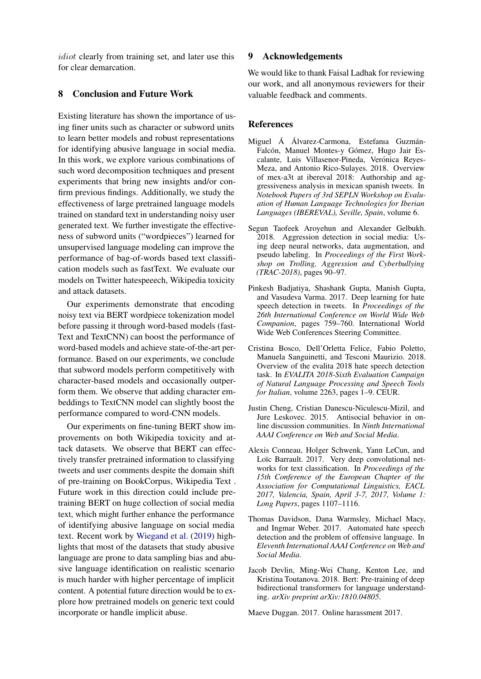idiot clearly from training set, and later use this for clear demarcation.

### 8 Conclusion and Future Work

Existing literature has shown the importance of using finer units such as character or subword units to learn better models and robust representations for identifying abusive language in social media. In this work, we explore various combinations of such word decomposition techniques and present experiments that bring new insights and/or confirm previous findings. Additionally, we study the effectiveness of large pretrained language models trained on standard text in understanding noisy user generated text. We further investigate the effectiveness of subword units ("wordpieces") learned for unsupervised language modeling can improve the performance of bag-of-words based text classification models such as fastText. We evaluate our models on Twitter hatespeeech, Wikipedia toxicity and attack datasets.

Our experiments demonstrate that encoding noisy text via BERT wordpiece tokenization model before passing it through word-based models (fast-Text and TextCNN) can boost the performance of word-based models and achieve state-of-the-art performance. Based on our experiments, we conclude that subword models perform competitively with character-based models and occasionally outperform them. We observe that adding character embeddings to TextCNN model can slightly boost the performance compared to word-CNN models.

Our experiments on fine-tuning BERT show improvements on both Wikipedia toxicity and attack datasets. We observe that BERT can effectively transfer pretrained information to classifying tweets and user comments despite the domain shift of pre-training on BookCorpus, Wikipedia Text . Future work in this direction could include pretraining BERT on huge collection of social media text, which might further enhance the performance of identifying abusive language on social media text. Recent work by [Wiegand et al.](#page-9-22) [\(2019\)](#page-9-22) highlights that most of the datasets that study abusive language are prone to data sampling bias and abusive language identification on realistic scenario is much harder with higher percentage of implicit content. A potential future direction would be to explore how pretrained models on generic text could incorporate or handle implicit abuse.

#### 9 Acknowledgements

We would like to thank Faisal Ladhak for reviewing our work, and all anonymous reviewers for their valuable feedback and comments.

#### **References**

- <span id="page-8-7"></span>Miguel Á Álvarez-Carmona, Estefania Guzmán-Falcón, Manuel Montes-y Gómez, Hugo Jair Escalante, Luis Villasenor-Pineda, Verónica Reyes-Meza, and Antonio Rico-Sulayes. 2018. Overview of mex-a3t at ibereval 2018: Authorship and aggressiveness analysis in mexican spanish tweets. In *Notebook Papers of 3rd SEPLN Workshop on Evaluation of Human Language Technologies for Iberian Languages (IBEREVAL), Seville, Spain*, volume 6.
- <span id="page-8-5"></span>Segun Taofeek Aroyehun and Alexander Gelbukh. 2018. Aggression detection in social media: Using deep neural networks, data augmentation, and pseudo labeling. In *Proceedings of the First Workshop on Trolling, Aggression and Cyberbullying (TRAC-2018)*, pages 90–97.
- <span id="page-8-2"></span>Pinkesh Badjatiya, Shashank Gupta, Manish Gupta, and Vasudeva Varma. 2017. Deep learning for hate speech detection in tweets. In *Proceedings of the 26th International Conference on World Wide Web Companion*, pages 759–760. International World Wide Web Conferences Steering Committee.
- <span id="page-8-6"></span>Cristina Bosco, Dell'Orletta Felice, Fabio Poletto, Manuela Sanguinetti, and Tesconi Maurizio. 2018. Overview of the evalita 2018 hate speech detection task. In *EVALITA 2018-Sixth Evaluation Campaign of Natural Language Processing and Speech Tools for Italian*, volume 2263, pages 1–9. CEUR.
- <span id="page-8-4"></span>Justin Cheng, Cristian Danescu-Niculescu-Mizil, and Jure Leskovec. 2015. Antisocial behavior in online discussion communities. In *Ninth International AAAI Conference on Web and Social Media*.
- <span id="page-8-8"></span>Alexis Conneau, Holger Schwenk, Yann LeCun, and Loïc Barrault. 2017. Very deep convolutional networks for text classification. In *Proceedings of the 15th Conference of the European Chapter of the Association for Computational Linguistics, EACL 2017, Valencia, Spain, April 3-7, 2017, Volume 1: Long Papers*, pages 1107–1116.
- <span id="page-8-1"></span>Thomas Davidson, Dana Warmsley, Michael Macy, and Ingmar Weber. 2017. Automated hate speech detection and the problem of offensive language. In *Eleventh International AAAI Conference on Web and Social Media*.
- <span id="page-8-3"></span>Jacob Devlin, Ming-Wei Chang, Kenton Lee, and Kristina Toutanova. 2018. Bert: Pre-training of deep bidirectional transformers for language understanding. *arXiv preprint arXiv:1810.04805*.

<span id="page-8-0"></span>Maeve Duggan. 2017. Online harassment 2017.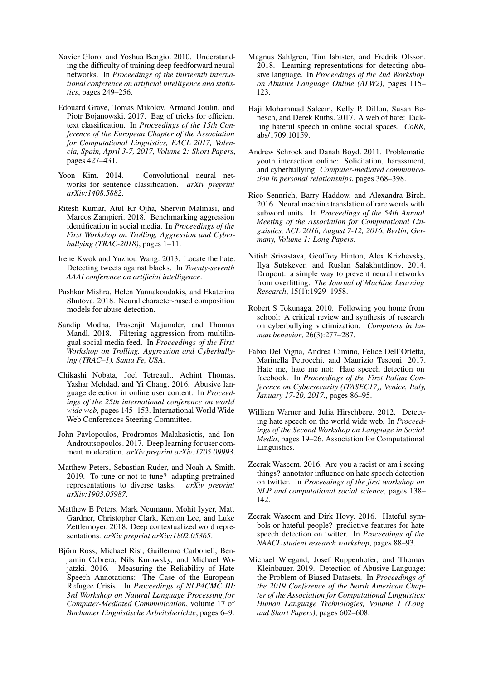- <span id="page-9-21"></span>Xavier Glorot and Yoshua Bengio. 2010. Understanding the difficulty of training deep feedforward neural networks. In *Proceedings of the thirteenth international conference on artificial intelligence and statistics*, pages 249–256.
- <span id="page-9-17"></span>Edouard Grave, Tomas Mikolov, Armand Joulin, and Piotr Bojanowski. 2017. Bag of tricks for efficient text classification. In *Proceedings of the 15th Conference of the European Chapter of the Association for Computational Linguistics, EACL 2017, Valencia, Spain, April 3-7, 2017, Volume 2: Short Papers*, pages 427–431.
- <span id="page-9-16"></span>Yoon Kim. 2014. Convolutional neural networks for sentence classification. *arXiv preprint arXiv:1408.5882*.
- <span id="page-9-2"></span>Ritesh Kumar, Atul Kr Ojha, Shervin Malmasi, and Marcos Zampieri. 2018. Benchmarking aggression identification in social media. In *Proceedings of the First Workshop on Trolling, Aggression and Cyberbullying (TRAC-2018)*, pages 1–11.
- <span id="page-9-7"></span>Irene Kwok and Yuzhou Wang. 2013. Locate the hate: Detecting tweets against blacks. In *Twenty-seventh AAAI conference on artificial intelligence*.
- <span id="page-9-5"></span>Pushkar Mishra, Helen Yannakoudakis, and Ekaterina Shutova. 2018. Neural character-based composition models for abuse detection.
- <span id="page-9-15"></span>Sandip Modha, Prasenjit Majumder, and Thomas Mandl. 2018. Filtering aggression from multilingual social media feed. In *Proceedings of the First Workshop on Trolling, Aggression and Cyberbullying (TRAC–1), Santa Fe, USA*.
- <span id="page-9-4"></span>Chikashi Nobata, Joel Tetreault, Achint Thomas, Yashar Mehdad, and Yi Chang. 2016. Abusive language detection in online user content. In *Proceedings of the 25th international conference on world wide web*, pages 145–153. International World Wide Web Conferences Steering Committee.
- <span id="page-9-3"></span>John Pavlopoulos, Prodromos Malakasiotis, and Ion Androutsopoulos. 2017. Deep learning for user comment moderation. *arXiv preprint arXiv:1705.09993*.
- <span id="page-9-18"></span>Matthew Peters, Sebastian Ruder, and Noah A Smith. 2019. To tune or not to tune? adapting pretrained representations to diverse tasks. *arXiv preprint arXiv:1903.05987*.
- <span id="page-9-6"></span>Matthew E Peters, Mark Neumann, Mohit Iyyer, Matt Gardner, Christopher Clark, Kenton Lee, and Luke Zettlemoyer. 2018. Deep contextualized word representations. *arXiv preprint arXiv:1802.05365*.
- <span id="page-9-9"></span>Björn Ross, Michael Rist, Guillermo Carbonell, Benjamin Cabrera, Nils Kurowsky, and Michael Wojatzki. 2016. Measuring the Reliability of Hate Speech Annotations: The Case of the European Refugee Crisis. In *Proceedings of NLP4CMC III: 3rd Workshop on Natural Language Processing for Computer-Mediated Communication*, volume 17 of *Bochumer Linguistische Arbeitsberichte*, pages 6–9.
- <span id="page-9-14"></span>Magnus Sahlgren, Tim Isbister, and Fredrik Olsson. 2018. Learning representations for detecting abusive language. In *Proceedings of the 2nd Workshop on Abusive Language Online (ALW2)*, pages 115– 123.
- <span id="page-9-10"></span>Haji Mohammad Saleem, Kelly P. Dillon, Susan Benesch, and Derek Ruths. 2017. A web of hate: Tackling hateful speech in online social spaces. *CoRR*, abs/1709.10159.
- <span id="page-9-13"></span>Andrew Schrock and Danah Boyd. 2011. Problematic youth interaction online: Solicitation, harassment, and cyberbullying. *Computer-mediated communication in personal relationships*, pages 368–398.
- <span id="page-9-20"></span>Rico Sennrich, Barry Haddow, and Alexandra Birch. 2016. Neural machine translation of rare words with subword units. In *Proceedings of the 54th Annual Meeting of the Association for Computational Linguistics, ACL 2016, August 7-12, 2016, Berlin, Germany, Volume 1: Long Papers*.
- <span id="page-9-19"></span>Nitish Srivastava, Geoffrey Hinton, Alex Krizhevsky, Ilya Sutskever, and Ruslan Salakhutdinov. 2014. Dropout: a simple way to prevent neural networks from overfitting. *The Journal of Machine Learning Research*, 15(1):1929–1958.
- <span id="page-9-12"></span>Robert S Tokunaga. 2010. Following you home from school: A critical review and synthesis of research on cyberbullying victimization. *Computers in human behavior*, 26(3):277–287.
- <span id="page-9-1"></span>Fabio Del Vigna, Andrea Cimino, Felice Dell'Orletta, Marinella Petrocchi, and Maurizio Tesconi. 2017. Hate me, hate me not: Hate speech detection on facebook. In *Proceedings of the First Italian Conference on Cybersecurity (ITASEC17), Venice, Italy, January 17-20, 2017.*, pages 86–95.
- <span id="page-9-11"></span>William Warner and Julia Hirschberg. 2012. Detecting hate speech on the world wide web. In *Proceedings of the Second Workshop on Language in Social Media*, pages 19–26. Association for Computational Linguistics.
- <span id="page-9-8"></span>Zeerak Waseem. 2016. Are you a racist or am i seeing things? annotator influence on hate speech detection on twitter. In *Proceedings of the first workshop on NLP and computational social science*, pages 138– 142.
- <span id="page-9-0"></span>Zeerak Waseem and Dirk Hovy. 2016. Hateful symbols or hateful people? predictive features for hate speech detection on twitter. In *Proceedings of the NAACL student research workshop*, pages 88–93.
- <span id="page-9-22"></span>Michael Wiegand, Josef Ruppenhofer, and Thomas Kleinbauer. 2019. Detection of Abusive Language: the Problem of Biased Datasets. In *Proceedings of the 2019 Conference of the North American Chapter of the Association for Computational Linguistics: Human Language Technologies, Volume 1 (Long and Short Papers)*, pages 602–608.